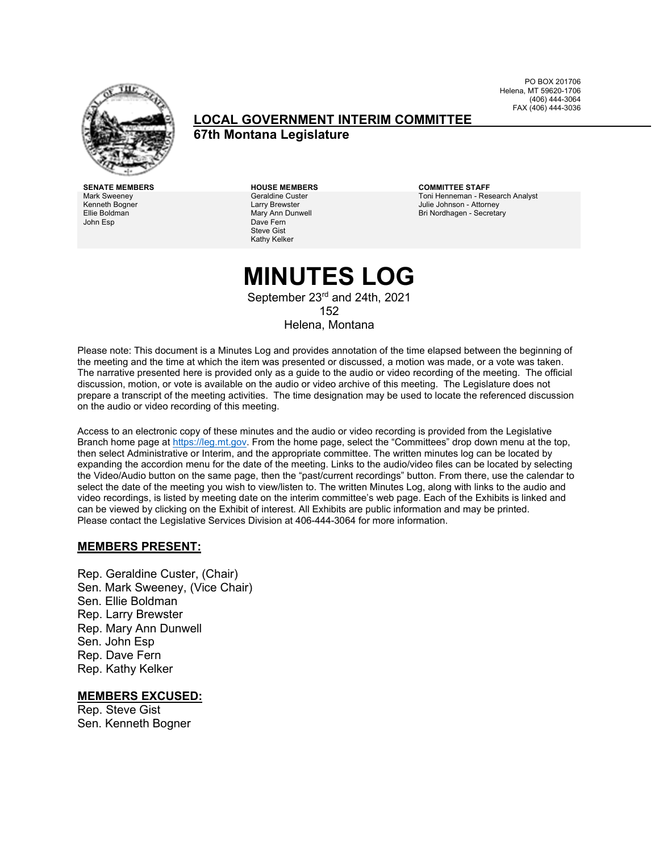

**LOCAL GOVERNMENT INTERIM COMMITTEE**

**67th Montana Legislature**

**SENATE MEMBERS HOUSE MEMBERS COMMITTEE STAFF** Mark Sweeney Kenneth Bogner Ellie Boldman John Esp

Geraldine Custer Larry Brewster Mary Ann Dunwell Dave Fern Steve Gist Kathy Kelker

Toni Henneman - Research Analyst Julie Johnson - Attorney Bri Nordhagen - Secretary

PO BOX 201706 Helena, MT 59620-1706 (406) 444-3064 FAX (406) 444-3036

## **MINUTES LOG**

September 23<sup>rd</sup> and 24th, 2021 152 Helena, Montana

Please note: This document is a Minutes Log and provides annotation of the time elapsed between the beginning of the meeting and the time at which the item was presented or discussed, a motion was made, or a vote was taken. The narrative presented here is provided only as a guide to the audio or video recording of the meeting. The official discussion, motion, or vote is available on the audio or video archive of this meeting. The Legislature does not prepare a transcript of the meeting activities. The time designation may be used to locate the referenced discussion on the audio or video recording of this meeting.

Access to an electronic copy of these minutes and the audio or video recording is provided from the Legislative Branch home page a[t https://leg.mt.gov.](http://legmt.gov/) From the home page, select the "Committees" drop down menu at the top, then select Administrative or Interim, and the appropriate committee. The written minutes log can be located by expanding the accordion menu for the date of the meeting. Links to the audio/video files can be located by selecting the Video/Audio button on the same page, then the "past/current recordings" button. From there, use the calendar to select the date of the meeting you wish to view/listen to. The written Minutes Log, along with links to the audio and video recordings, is listed by meeting date on the interim committee's web page. Each of the Exhibits is linked and can be viewed by clicking on the Exhibit of interest. All Exhibits are public information and may be printed. Please contact the Legislative Services Division at 406-444-3064 for more information.

#### **MEMBERS PRESENT:**

Rep. Geraldine Custer, (Chair) Sen. Mark Sweeney, (Vice Chair) Sen. Ellie Boldman Rep. Larry Brewster Rep. Mary Ann Dunwell Sen. John Esp Rep. Dave Fern Rep. Kathy Kelker

#### **MEMBERS EXCUSED:**

Rep. Steve Gist Sen. Kenneth Bogner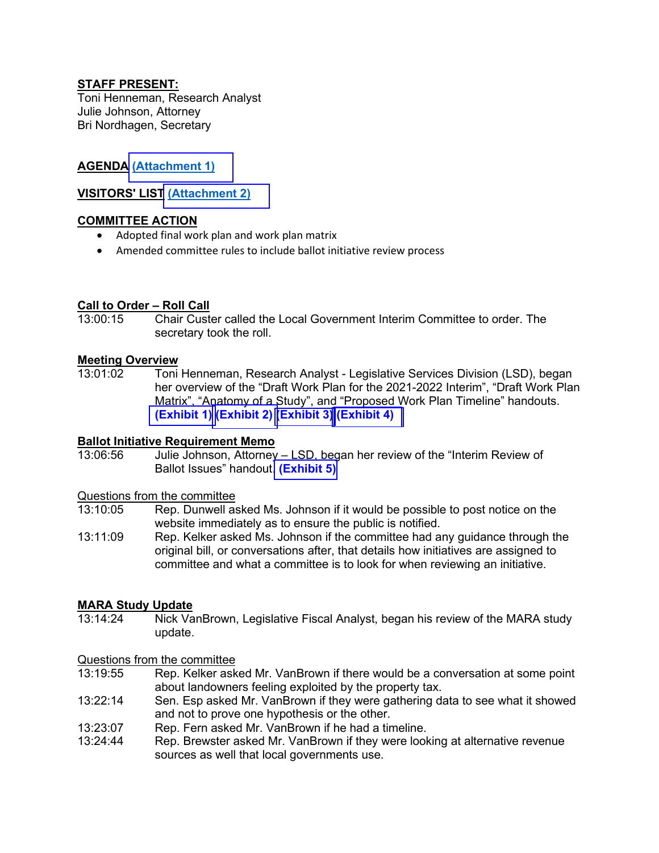#### **STAFF PRESENT:**

Toni Henneman, Research Analyst Julie Johnson, Attorney Bri Nordhagen, Secretary

#### **AGENDA [\(Attachment 1\)](https://leg.mt.gov/content/Committees/Interim/2021-2022/Local-Gov/21_Sept/LGIC_SeptAgenda.pdf)**

#### **VISITORS' LIST [\(Attachment 2\)](https://leg.mt.gov/content/Committees/Interim/2021-2022/Local-Gov/21_Sept/VisitorsList.pdf)**

#### **COMMITTEE ACTION**

- Adopted final work plan and work plan matrix
- Amended committee rules to include ballot initiative review process

## **Call to Order – Roll Call**

13:00:15 Chair Custer called the Local Government Interim Committee to order. The secretary took the roll.

## **Meeting Overview**<br>13:01:02 Toni

Toni Henneman, Research Analyst - Legislative Services Division (LSD), began her overview of the "Draft Work Plan for the 2021-2022 Interim", "Draft Work Plan Matrix", "Anatomy of a Study", and "Proposed Work Plan Timeline" handouts. **[\(Exhibit 1\)](https://leg.mt.gov/content/Committees/Interim/2021-2022/Local-Gov/21_Sept/LG_DraftWorkplan_21Revised.pdf) [\(Exhibit 2\)](https://leg.mt.gov/content/Committees/Interim/2021-2022/Local-Gov/21_Sept/LGICDraft_Matrix_AdoptedJuly.pdf) [\(Exhibit 3\)](https://leg.mt.gov/content/Committees/Interim/2021-2022/Local-Gov/21_Sept/StudyAnatomy.pdf)[\(Exhibit 4\)](https://leg.mt.gov/content/Committees/Interim/2021-2022/Local-Gov/21_Sept/LGR_Timeline_9.21.21.pdf)** 

#### **Ballot Initiative Requirement Memo**

13:06:56 Julie Johnson, Attorney – LSD, began her review of the "Interim Review of Ballot Issues" handout. **[\(Exhibit 5\)](https://leg.mt.gov/content/Committees/Interim/2021-2022/Local-Gov/21_Sept/Ballot-Issue-Review-by-Committees-Final.pdf)** 

## Questions from the committee<br>13:10:05 Rep. Dunwell as

- Rep. Dunwell asked Ms. Johnson if it would be possible to post notice on the website immediately as to ensure the public is notified.
- 13:11:09 Rep. Kelker asked Ms. Johnson if the committee had any guidance through the original bill, or conversations after, that details how initiatives are assigned to committee and what a committee is to look for when reviewing an initiative.

## **MARA Study Update**

Nick VanBrown, Legislative Fiscal Analyst, began his review of the MARA study update.

#### Questions from the committee

- 13:19:55 Rep. Kelker asked Mr. VanBrown if there would be a conversation at some point about landowners feeling exploited by the property tax.
- 13:22:14 Sen. Esp asked Mr. VanBrown if they were gathering data to see what it showed and not to prove one hypothesis or the other.
- 13:23:07 Rep. Fern asked Mr. VanBrown if he had a timeline.<br>13:24:44 Rep. Brewster asked Mr. VanBrown if they were look
- Rep. Brewster asked Mr. VanBrown if they were looking at alternative revenue sources as well that local governments use.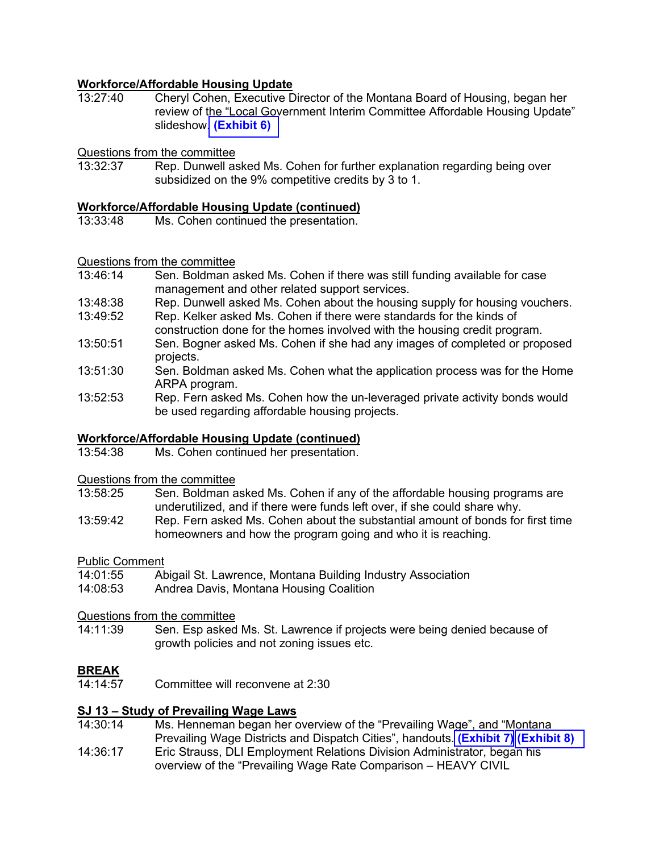## **Workforce/Affordable Housing Update**<br>13:27:40 Cheryl Cohen Executive D

Cheryl Cohen, Executive Director of the Montana Board of Housing, began her review of the "Local Government Interim Committee Affordable Housing Update" slideshow. **[\(Exhibit 6\)](https://leg.mt.gov/content/Committees/Interim/2021-2022/Local-Gov/21_Sept/MontanaHousingPresentation.pdf)** 

## Questions from the committee

Rep. Dunwell asked Ms. Cohen for further explanation regarding being over subsidized on the 9% competitive credits by 3 to 1.

# **Workforce/Affordable Housing Update (continued)**

Ms. Cohen continued the presentation.

## Questions from the committee

- Sen. Boldman asked Ms. Cohen if there was still funding available for case management and other related support services.
- 13:48:38 Rep. Dunwell asked Ms. Cohen about the housing supply for housing vouchers.<br>13:49:52 Rep. Kelker asked Ms. Cohen if there were standards for the kinds of
- Rep. Kelker asked Ms. Cohen if there were standards for the kinds of construction done for the homes involved with the housing credit program.
- 13:50:51 Sen. Bogner asked Ms. Cohen if she had any images of completed or proposed projects.
- 13:51:30 Sen. Boldman asked Ms. Cohen what the application process was for the Home ARPA program.
- 13:52:53 Rep. Fern asked Ms. Cohen how the un-leveraged private activity bonds would be used regarding affordable housing projects.

# **Workforce/Affordable Housing Update (continued)**

Ms. Cohen continued her presentation.

# Questions from the committee

- Sen. Boldman asked Ms. Cohen if any of the affordable housing programs are underutilized, and if there were funds left over, if she could share why.
- 13:59:42 Rep. Fern asked Ms. Cohen about the substantial amount of bonds for first time homeowners and how the program going and who it is reaching.

## Public Comment<br>14:01:55 At

- Abigail St. Lawrence, Montana Building Industry Association
- 14:08:53 Andrea Davis, Montana Housing Coalition

### Questions from the committee

Sen. Esp asked Ms. St. Lawrence if projects were being denied because of growth policies and not zoning issues etc.

## **BREAK**<br>14:14:57

Committee will reconvene at 2:30

#### **SJ 13 – Study of Prevailing Wage Laws**

- 14:30:14 14:36:17 Ms. Henneman began her overview of the "Prevailing Wage", and "Montana Prevailing Wage Districts and Dispatch Cities", handouts. **[\(Exhibit 7\)](https://leg.mt.gov/content/Committees/Interim/2021-2022/Local-Gov/21_Sept/PrevailingWageSummary.pdf) [\(Exhibit 8\)](https://leg.mt.gov/content/Committees/Interim/2021-2022/Local-Gov/21_Sept/PrevailingWageDistricts_DispatchCities.pdf)**
- Eric Strauss, DLI Employment Relations Division Administrator, began his overview of the "Prevailing Wage Rate Comparison – HEAVY CIVIL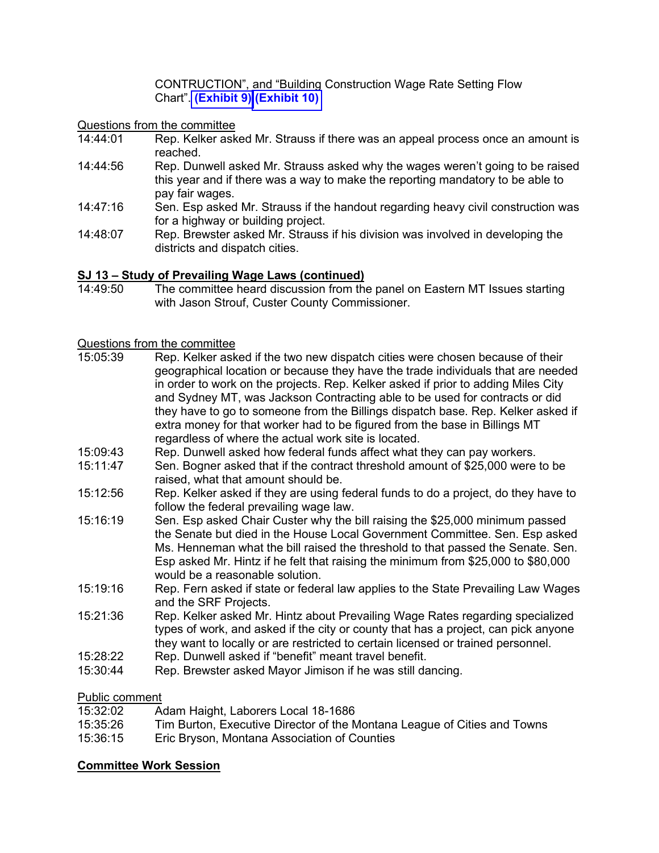CONTRUCTION", and "Building Construction Wage Rate Setting Flow Chart". **[\(Exhibit 9\)](https://leg.mt.gov/content/Committees/Interim/2021-2022/Local-Gov/21_Sept/PrevailingWageDistricts_DispatchCities.pdf) [\(Exhibit 10\)](https://leg.mt.gov/content/Committees/Interim/2021-2022/Local-Gov/21_Sept/DLI_RateSettingFlowChart.pdf)** 

Questions from the committee<br>14:44:01 Rep Kelker ask

- Rep. Kelker asked Mr. Strauss if there was an appeal process once an amount is reached.
- 14:44:56 Rep. Dunwell asked Mr. Strauss asked why the wages weren't going to be raised this year and if there was a way to make the reporting mandatory to be able to pay fair wages.
- 14:47:16 Sen. Esp asked Mr. Strauss if the handout regarding heavy civil construction was for a highway or building project.
- 14:48:07 Rep. Brewster asked Mr. Strauss if his division was involved in developing the districts and dispatch cities.

#### **SJ 13 – Study of Prevailing Wage Laws (continued)**

14:49:50 The committee heard discussion from the panel on Eastern MT Issues starting with Jason Strouf, Custer County Commissioner.

- Questions from the committee<br>15:05:39 Rep. Kelker ask Rep. Kelker asked if the two new dispatch cities were chosen because of their geographical location or because they have the trade individuals that are needed in order to work on the projects. Rep. Kelker asked if prior to adding Miles City and Sydney MT, was Jackson Contracting able to be used for contracts or did they have to go to someone from the Billings dispatch base. Rep. Kelker asked if extra money for that worker had to be figured from the base in Billings MT regardless of where the actual work site is located. 15:09:43 Rep. Dunwell asked how federal funds affect what they can pay workers. 15:11:47 Sen. Bogner asked that if the contract threshold amount of \$25,000 were to be raised, what that amount should be. 15:12:56 Rep. Kelker asked if they are using federal funds to do a project, do they have to follow the federal prevailing wage law. 15:16:19 Sen. Esp asked Chair Custer why the bill raising the \$25,000 minimum passed the Senate but died in the House Local Government Committee. Sen. Esp asked Ms. Henneman what the bill raised the threshold to that passed the Senate. Sen. Esp asked Mr. Hintz if he felt that raising the minimum from \$25,000 to \$80,000 would be a reasonable solution. 15:19:16 Rep. Fern asked if state or federal law applies to the State Prevailing Law Wages and the SRF Projects. 15:21:36 Rep. Kelker asked Mr. Hintz about Prevailing Wage Rates regarding specialized types of work, and asked if the city or county that has a project, can pick anyone they want to locally or are restricted to certain licensed or trained personnel. 15:28:22 Rep. Dunwell asked if "benefit" meant travel benefit.
- 
- 15:30:44 Rep. Brewster asked Mayor Jimison if he was still dancing.

#### Public comment

| 15:32:02 | Adam Haight, Laborers Local 18-1686                                      |
|----------|--------------------------------------------------------------------------|
| 15:35:26 | Tim Burton, Executive Director of the Montana League of Cities and Towns |
| 15:36:15 | Eric Bryson, Montana Association of Counties                             |

#### **Committee Work Session**